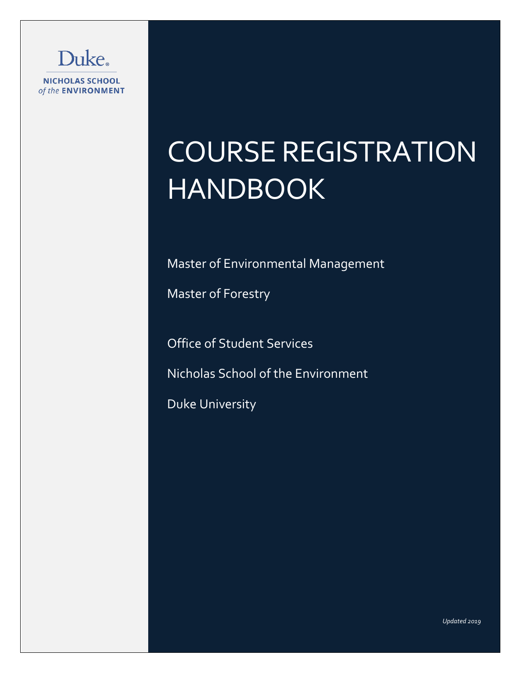

# COURSE REGISTRATION HANDBOOK

Master of Environmental Management

Master of Forestry

Office of Student Services

Nicholas School of the Environment

Duke University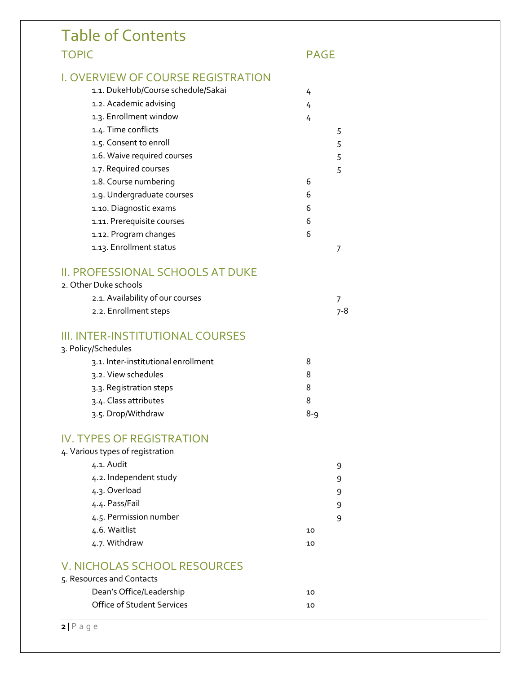| <b>Table of Contents</b>                  |         |             |  |
|-------------------------------------------|---------|-------------|--|
| <b>TOPIC</b>                              |         | <b>PAGE</b> |  |
| <b>I. OVERVIEW OF COURSE REGISTRATION</b> |         |             |  |
| 1.1. DukeHub/Course schedule/Sakai        |         |             |  |
| 1.2. Academic advising                    | 4       |             |  |
| 1.3. Enrollment window                    | 4       |             |  |
| 1.4. Time conflicts                       | 4       |             |  |
| 1.5. Consent to enroll                    |         | 5           |  |
| 1.6. Waive required courses               |         | 5           |  |
| 1.7. Required courses                     |         | 5<br>5      |  |
| 1.8. Course numbering                     | 6       |             |  |
| 1.9. Undergraduate courses                | 6       |             |  |
| 1.10. Diagnostic exams                    | 6       |             |  |
| 1.11. Prerequisite courses                | 6       |             |  |
| 1.12. Program changes                     | 6       |             |  |
| 1.13. Enrollment status                   |         |             |  |
|                                           |         | 7           |  |
| II. PROFESSIONAL SCHOOLS AT DUKE          |         |             |  |
| 2. Other Duke schools                     |         |             |  |
| 2.1. Availability of our courses          |         | 7           |  |
| 2.2. Enrollment steps                     |         | $7 - 8$     |  |
| III. INTER-INSTITUTIONAL COURSES          |         |             |  |
| 3. Policy/Schedules                       |         |             |  |
| 3.1. Inter-institutional enrollment       | 8       |             |  |
| 3.2. View schedules                       | 8       |             |  |
| 3.3. Registration steps                   | 8       |             |  |
| 3.4. Class attributes                     | 8       |             |  |
| 3.5. Drop/Withdraw                        | $8 - 9$ |             |  |
| <b>IV. TYPES OF REGISTRATION</b>          |         |             |  |
| 4. Various types of registration          |         |             |  |
| 4.1. Audit                                |         | 9           |  |
| 4.2. Independent study                    |         | 9           |  |
| 4.3. Overload                             |         | 9           |  |
| 4.4. Pass/Fail                            |         | 9           |  |
| 4.5. Permission number                    |         | 9           |  |
| 4.6. Waitlist                             | 10      |             |  |
| 4.7. Withdraw                             | 10      |             |  |
| <b>V. NICHOLAS SCHOOL RESOURCES</b>       |         |             |  |
| 5. Resources and Contacts                 |         |             |  |
| Dean's Office/Leadership                  | 10      |             |  |
|                                           |         |             |  |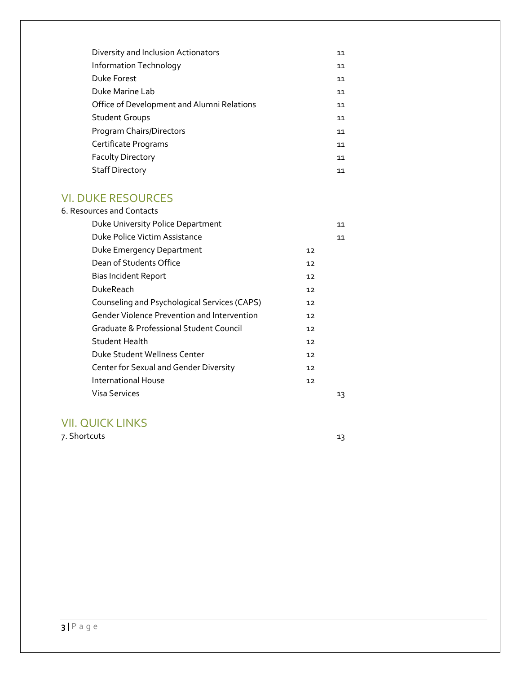| Diversity and Inclusion Actionators        | 11 |
|--------------------------------------------|----|
| Information Technology                     | 11 |
| Duke Forest                                | 11 |
| Duke Marine Lab                            | 11 |
| Office of Development and Alumni Relations | 11 |
| <b>Student Groups</b>                      | 11 |
| Program Chairs/Directors                   | 11 |
| Certificate Programs                       | 11 |
| <b>Faculty Directory</b>                   | 11 |
| <b>Staff Directory</b>                     | 11 |

# VI. DUKE RESOURCES

| 6. Resources and Contacts                          |    |    |
|----------------------------------------------------|----|----|
| Duke University Police Department                  |    | 11 |
| Duke Police Victim Assistance                      |    | 11 |
| Duke Emergency Department                          | 12 |    |
| Dean of Students Office                            | 12 |    |
| <b>Bias Incident Report</b>                        | 12 |    |
| DukeReach                                          | 12 |    |
| Counseling and Psychological Services (CAPS)       | 12 |    |
| <b>Gender Violence Prevention and Intervention</b> | 12 |    |
| Graduate & Professional Student Council            | 12 |    |
| Student Health                                     | 12 |    |
| Duke Student Wellness Center                       | 12 |    |
| Center for Sexual and Gender Diversity             | 12 |    |
| International House                                | 12 |    |
| Visa Services                                      |    | 13 |

# VII. QUICK LINKS

7. Shortcuts 13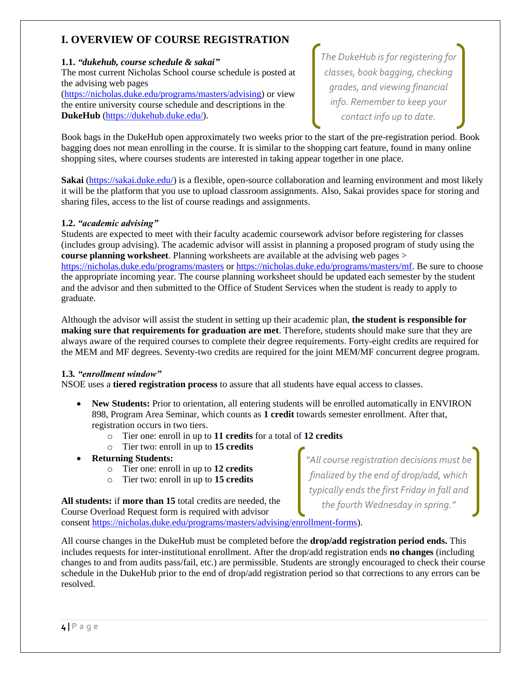# **I. OVERVIEW OF COURSE REGISTRATION**

# **1.1.** *"dukehub, course schedule & sakai"*

The most current Nicholas School course schedule is posted at the advising web pages

[\(https://nicholas.duke.edu/programs/masters/advising\)](https://nicholas.duke.edu/programs/masters/advising) or view the entire university course schedule and descriptions in the **DukeHub** [\(https://dukehub.duke.edu/\)](https://dukehub.duke.edu/).

*The DukeHub is for registering for classes, book bagging, checking grades, and viewing financial info. Remember to keep your contact info up to date.* 

Book bags in the DukeHub open approximately two weeks prior to the start of the pre-registration period. Book bagging does not mean enrolling in the course. It is similar to the shopping cart feature, found in many online shopping sites, where courses students are interested in taking appear together in one place.

**Sakai** [\(https://sakai.duke.edu/\)](https://sakai.duke.edu/) is a flexible, open-source collaboration and learning environment and most likely it will be the platform that you use to upload classroom assignments. Also, Sakai provides space for storing and sharing files, access to the list of course readings and assignments.

# **1.2.** *"academic advising"*

Students are expected to meet with their faculty academic coursework advisor before registering for classes (includes group advising). The academic advisor will assist in planning a proposed program of study using the **course planning worksheet**. Planning worksheets are available at the advising web pages > <https://nicholas.duke.edu/programs/masters> or [https://nicholas.duke.edu/programs/masters/mf.](https://nicholas.duke.edu/programs/masters/mf) Be sure to choose the appropriate incoming year. The course planning worksheet should be updated each semester by the student and the advisor and then submitted to the Office of Student Services when the student is ready to apply to graduate.

Although the advisor will assist the student in setting up their academic plan, **the student is responsible for making sure that requirements for graduation are met**. Therefore, students should make sure that they are always aware of the required courses to complete their degree requirements. Forty-eight credits are required for the MEM and MF degrees. Seventy-two credits are required for the joint MEM/MF concurrent degree program.

# **1.3***. "enrollment window"*

NSOE uses a **tiered registration process** to assure that all students have equal access to classes.

- **New Students:** Prior to orientation, all entering students will be enrolled automatically in ENVIRON 898, Program Area Seminar, which counts as **1 credit** towards semester enrollment. After that, registration occurs in two tiers.
	- o Tier one: enroll in up to **11 credits** for a total of **12 credits**
	- o Tier two: enroll in up to **15 credits**
- **Returning Students:**
	- o Tier one: enroll in up to **12 credits**
	- o Tier two: enroll in up to **15 credits**

**All students:** if **more than 15** total credits are needed, the Course Overload Request form is required with advisor consent [https://nicholas.duke.edu/programs/masters/advising/enrollment-forms\)](https://nicholas.duke.edu/programs/masters/advising/enrollment-forms).

All course changes in the DukeHub must be completed before the **drop/add registration period ends.** This includes requests for inter-institutional enrollment. After the drop/add registration ends **no changes** (including changes to and from audits pass/fail, etc.) are permissible. Students are strongly encouraged to check their course schedule in the DukeHub prior to the end of drop/add registration period so that corrections to any errors can be resolved.

*"All course registration decisions must be finalized by the end of drop/add, which typically ends the first Friday in fall and the fourth Wednesday in spring."*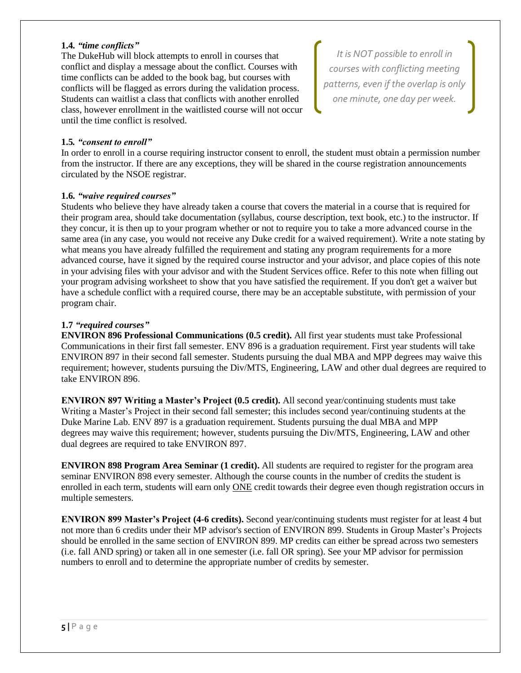## **1.4***. "time conflicts"*

The DukeHub will block attempts to enroll in courses that conflict and display a message about the conflict. Courses with time conflicts can be added to the book bag, but courses with conflicts will be flagged as errors during the validation process. Students can waitlist a class that conflicts with another enrolled class, however enrollment in the waitlisted course will not occur until the time conflict is resolved.

*It is NOT possible to enroll in courses with conflicting meeting patterns, even if the overlap is only one minute, one day per week.*

# **1.5***. "consent to enroll"*

In order to enroll in a course requiring instructor consent to enroll, the student must obtain a permission number from the instructor. If there are any exceptions, they will be shared in the course registration announcements circulated by the NSOE registrar.

## **1.6***. "waive required courses"*

Students who believe they have already taken a course that covers the material in a course that is required for their program area, should take documentation (syllabus, course description, text book, etc.) to the instructor. If they concur, it is then up to your program whether or not to require you to take a more advanced course in the same area (in any case, you would not receive any Duke credit for a waived requirement). Write a note stating by what means you have already fulfilled the requirement and stating any program requirements for a more advanced course, have it signed by the required course instructor and your advisor, and place copies of this note in your advising files with your advisor and with the Student Services office. Refer to this note when filling out your program advising worksheet to show that you have satisfied the requirement. If you don't get a waiver but have a schedule conflict with a required course, there may be an acceptable substitute, with permission of your program chair.

#### **1.7** *"required courses"*

**ENVIRON 896 Professional Communications (0.5 credit).** All first year students must take Professional Communications in their first fall semester. ENV 896 is a graduation requirement. First year students will take ENVIRON 897 in their second fall semester. Students pursuing the dual MBA and MPP degrees may waive this requirement; however, students pursuing the Div/MTS, Engineering, LAW and other dual degrees are required to take ENVIRON 896.

**ENVIRON 897 Writing a Master's Project (0.5 credit).** All second year/continuing students must take Writing a Master's Project in their second fall semester; this includes second year/continuing students at the Duke Marine Lab. ENV 897 is a graduation requirement. Students pursuing the dual MBA and MPP degrees may waive this requirement; however, students pursuing the Div/MTS, Engineering, LAW and other dual degrees are required to take ENVIRON 897.

**ENVIRON 898 Program Area Seminar (1 credit).** All students are required to register for the program area seminar ENVIRON 898 every semester. Although the course counts in the number of credits the student is enrolled in each term, students will earn only ONE credit towards their degree even though registration occurs in multiple semesters.

**ENVIRON 899 Master's Project (4-6 credits).** Second year/continuing students must register for at least 4 but not more than 6 credits under their MP advisor's section of ENVIRON 899. Students in Group Master's Projects should be enrolled in the same section of ENVIRON 899. MP credits can either be spread across two semesters (i.e. fall AND spring) or taken all in one semester (i.e. fall OR spring). See your MP advisor for permission numbers to enroll and to determine the appropriate number of credits by semester.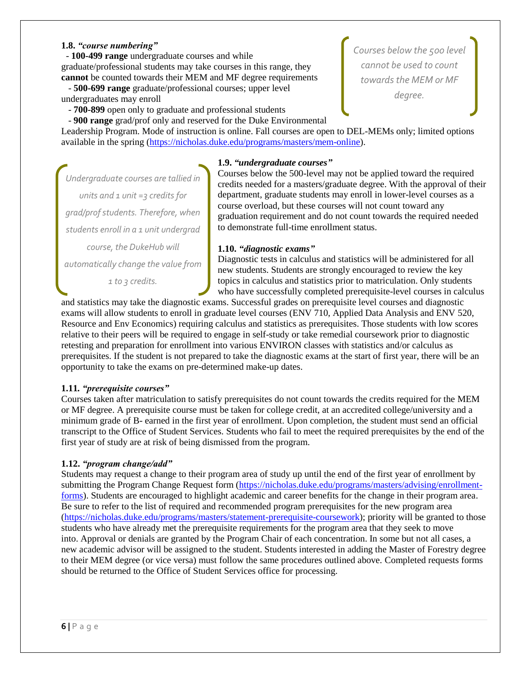### **1.8.** *"course numbering"*

 - **100-499 range** undergraduate courses and while graduate/professional students may take courses in this range, they **cannot** be counted towards their MEM and MF degree requirements

 - **500-699 range** graduate/professional courses; upper level undergraduates may enroll

- **700-899** open only to graduate and professional students

- **900 range** grad/prof only and reserved for the Duke Environmental

Leadership Program. Mode of instruction is online. Fall courses are open to DEL-MEMs only; limited options available in the spring [\(https://nicholas.duke.edu/programs/masters/mem-online\)](https://nicholas.duke.edu/programs/masters/mem-online).

## **1.9.** *"undergraduate courses"*

*Undergraduate courses are tallied in units and 1 unit =3 credits for grad/prof students. Therefore, when students enroll in a 1 unit undergrad course, the DukeHub will automatically change the value from* 

*1 to 3 credits.*

# Courses below the 500-level may not be applied toward the required credits needed for a masters/graduate degree. With the approval of their department, graduate students may enroll in lower-level courses as a course overload, but these courses will not count toward any graduation requirement and do not count towards the required needed to demonstrate full-time enrollment status.

## **1.10.** *"diagnostic exams"*

Diagnostic tests in calculus and statistics will be administered for all new students. Students are strongly encouraged to review the key topics in calculus and statistics prior to matriculation. Only students who have successfully completed prerequisite-level courses in calculus

and statistics may take the diagnostic exams. Successful grades on prerequisite level courses and diagnostic exams will allow students to enroll in graduate level courses (ENV 710, Applied Data Analysis and ENV 520, Resource and Env Economics) requiring calculus and statistics as prerequisites. Those students with low scores relative to their peers will be required to engage in self-study or take remedial coursework prior to diagnostic retesting and preparation for enrollment into various ENVIRON classes with statistics and/or calculus as prerequisites. If the student is not prepared to take the diagnostic exams at the start of first year, there will be an opportunity to take the exams on pre-determined make-up dates.

## **1.11***. "prerequisite courses"*

Courses taken after matriculation to satisfy prerequisites do not count towards the credits required for the MEM or MF degree. A prerequisite course must be taken for college credit, at an accredited college/university and a minimum grade of B- earned in the first year of enrollment. Upon completion, the student must send an official transcript to the Office of Student Services. Students who fail to meet the required prerequisites by the end of the first year of study are at risk of being dismissed from the program.

## **1.12.** *"program change/add"*

Students may request a change to their program area of study up until the end of the first year of enrollment by submitting the Program Change Request form [\(https://nicholas.duke.edu/programs/masters/advising/enrollment](https://nicholas.duke.edu/programs/masters/advising/enrollment-forms)[forms\)](https://nicholas.duke.edu/programs/masters/advising/enrollment-forms). Students are encouraged to highlight academic and career benefits for the change in their program area. Be sure to refer to the list of required and recommended program prerequisites for the new program area [\(https://nicholas.duke.edu/programs/masters/statement-prerequisite-coursework\)](https://nicholas.duke.edu/programs/masters/statement-prerequisite-coursework); priority will be granted to those students who have already met the prerequisite requirements for the program area that they seek to move into. Approval or denials are granted by the Program Chair of each concentration. In some but not all cases, a new academic advisor will be assigned to the student. Students interested in adding the Master of Forestry degree to their MEM degree (or vice versa) must follow the same procedures outlined above. Completed requests forms should be returned to the Office of Student Services office for processing.

*Courses below the 500 level cannot be used to count towards the MEM or MF degree.*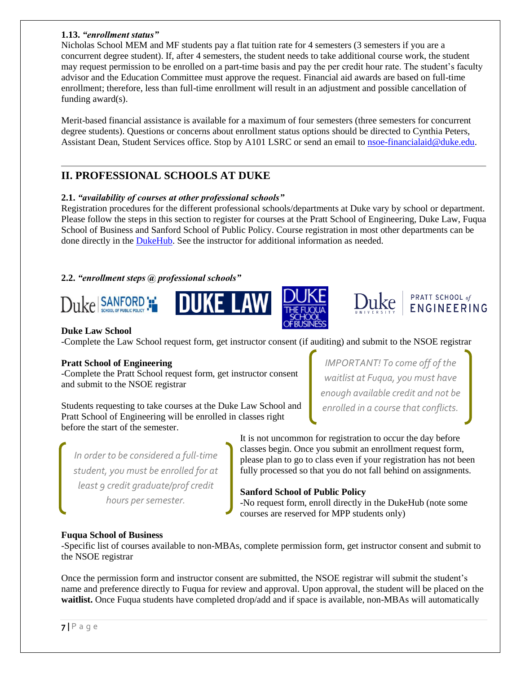# **1.13.** *"enrollment status"*

Nicholas School MEM and MF students pay a flat tuition rate for 4 semesters (3 semesters if you are a concurrent degree student). If, after 4 semesters, the student needs to take additional course work, the student may request permission to be enrolled on a part-time basis and pay the per credit hour rate. The student's faculty advisor and the Education Committee must approve the request. Financial aid awards are based on full-time enrollment; therefore, less than full-time enrollment will result in an adjustment and possible cancellation of funding award(s).

Merit-based financial assistance is available for a maximum of four semesters (three semesters for concurrent degree students). Questions or concerns about enrollment status options should be directed to Cynthia Peters, Assistant Dean, Student Services office. Stop by A101 LSRC or send an email to [nsoe-financialaid@duke.edu.](mailto:nsoe-financialaid@duke.edu)

# **II. PROFESSIONAL SCHOOLS AT DUKE**

# **2.1.** *"availability of courses at other professional schools"*

Registration procedures for the different professional schools/departments at Duke vary by school or department. Please follow the steps in this section to register for courses at the Pratt School of Engineering, Duke Law, Fuqua School of Business and Sanford School of Public Policy. Course registration in most other departments can be done directly in the [DukeHub.](https://dukehub.duke.edu/) See the instructor for additional information as needed.

# **2.2.** *"enrollment steps @ professional schools"*









# **Duke Law School**

-Complete the Law School request form, get instructor consent (if auditing) and submit to the NSOE registrar

# **Pratt School of Engineering**

-Complete the Pratt School request form, get instructor consent and submit to the NSOE registrar

Students requesting to take courses at the Duke Law School and Pratt School of Engineering will be enrolled in classes right before the start of the semester.

*IMPORTANT! To come off of the waitlist at Fuqua, you must have enough available credit and not be enrolled in a course that conflicts.*

*In order to be considered a full-time student, you must be enrolled for at least 9 credit graduate/prof credit hours per semester.* 

It is not uncommon for registration to occur the day before classes begin. Once you submit an enrollment request form, please plan to go to class even if your registration has not been fully processed so that you do not fall behind on assignments.

# **Sanford School of Public Policy**

-No request form, enroll directly in the DukeHub (note some courses are reserved for MPP students only)

# **Fuqua School of Business**

-Specific list of courses available to non-MBAs, complete permission form, get instructor consent and submit to the NSOE registrar

Once the permission form and instructor consent are submitted, the NSOE registrar will submit the student's name and preference directly to Fuqua for review and approval. Upon approval, the student will be placed on the **waitlist.** Once Fuqua students have completed drop/add and if space is available, non-MBAs will automatically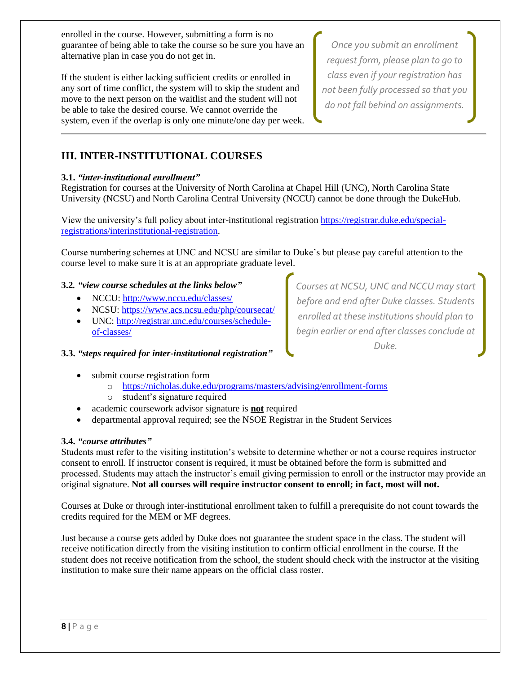enrolled in the course. However, submitting a form is no guarantee of being able to take the course so be sure you have an alternative plan in case you do not get in.

If the student is either lacking sufficient credits or enrolled in any sort of time conflict, the system will to skip the student and move to the next person on the waitlist and the student will not be able to take the desired course. We cannot override the system, even if the overlap is only one minute/one day per week.

*Once you submit an enrollment request form, please plan to go to class even if your registration has not been fully processed so that you do not fall behind on assignments.*

# **III. INTER-INSTITUTIONAL COURSES**

# **3.1.** *"inter-institutional enrollment"*

Registration for courses at the University of North Carolina at Chapel Hill (UNC), North Carolina State University (NCSU) and North Carolina Central University (NCCU) cannot be done through the DukeHub.

View the university's full policy about inter-institutional registration [https://registrar.duke.edu/special](https://registrar.duke.edu/special-registrations/interinstitutional-registration)[registrations/interinstitutional-registration.](https://registrar.duke.edu/special-registrations/interinstitutional-registration)

Course numbering schemes at UNC and NCSU are similar to Duke's but please pay careful attention to the course level to make sure it is at an appropriate graduate level.

# **3.2***. "view course schedules at the links below"*

- NCCU: http://www.nccu.edu/classes/
- NCSU: <https://www.acs.ncsu.edu/php/coursecat/>
- UNC: [http://registrar.unc.edu/courses/schedule](http://registrar.unc.edu/courses/schedule-of-classes/)[of-classes/](http://registrar.unc.edu/courses/schedule-of-classes/)

**3.3.** *"steps required for inter-institutional registration"*

- submit course registration form
	- o <https://nicholas.duke.edu/programs/masters/advising/enrollment-forms>
	- o student's signature required
- academic coursework advisor signature is **not** required
- departmental approval required; see the NSOE Registrar in the Student Services

## **3.4.** *"course attributes"*

Students must refer to the visiting institution's website to determine whether or not a course requires instructor consent to enroll. If instructor consent is required, it must be obtained before the form is submitted and processed. Students may attach the instructor's email giving permission to enroll or the instructor may provide an original signature. **Not all courses will require instructor consent to enroll; in fact, most will not.**

Courses at Duke or through inter-institutional enrollment taken to fulfill a prerequisite do not count towards the credits required for the MEM or MF degrees.

Just because a course gets added by Duke does not guarantee the student space in the class. The student will receive notification directly from the visiting institution to confirm official enrollment in the course. If the student does not receive notification from the school, the student should check with the instructor at the visiting institution to make sure their name appears on the official class roster.

*Courses at NCSU, UNC and NCCU may start before and end after Duke classes. Students enrolled at these institutions should plan to begin earlier or end after classes conclude at Duke.*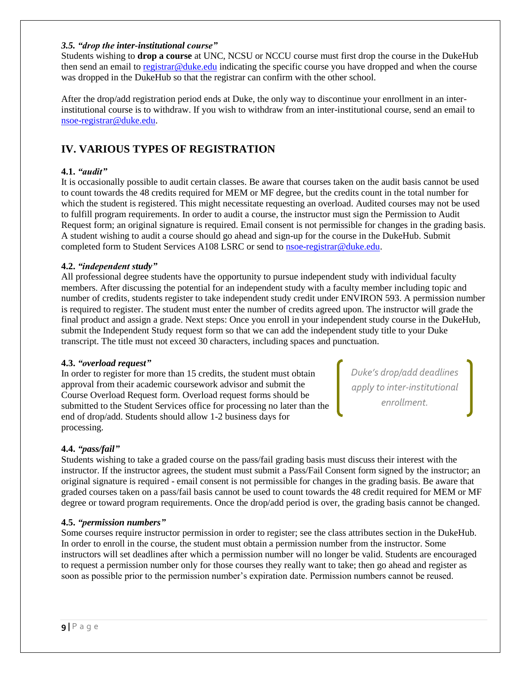### *3.5. "drop the inter-institutional course"*

Students wishing to **drop a course** at UNC, NCSU or NCCU course must first drop the course in the DukeHub then send an email to [registrar@duke.edu](mailto:registrar@duke.edu) indicating the specific course you have dropped and when the course was dropped in the DukeHub so that the registrar can confirm with the other school.

After the drop/add registration period ends at Duke, the only way to discontinue your enrollment in an interinstitutional course is to withdraw. If you wish to withdraw from an inter-institutional course, send an email to [nsoe-registrar@duke.edu.](mailto:nsoe-registrar@duke.edu)

# **IV. VARIOUS TYPES OF REGISTRATION**

# **4.1.** *"audit"*

It is occasionally possible to audit certain classes. Be aware that courses taken on the audit basis cannot be used to count towards the 48 credits required for MEM or MF degree, but the credits count in the total number for which the student is registered. This might necessitate requesting an overload. Audited courses may not be used to fulfill program requirements. In order to audit a course, the instructor must sign the Permission to Audit Request form; an original signature is required. Email consent is not permissible for changes in the grading basis. A student wishing to audit a course should go ahead and sign-up for the course in the DukeHub. Submit completed form to Student Services A108 LSRC or send to [nsoe-registrar@duke.edu.](mailto:nsoe-registrar@duke.edu)

# **4.2.** *"independent study"*

All professional degree students have the opportunity to pursue independent study with individual faculty members. After discussing the potential for an independent study with a faculty member including topic and number of credits, students register to take independent study credit under ENVIRON 593. A permission number is required to register. The student must enter the number of credits agreed upon. The instructor will grade the final product and assign a grade. Next steps: Once you enroll in your independent study course in the DukeHub, submit the Independent Study request form so that we can add the independent study title to your Duke transcript. The title must not exceed 30 characters, including spaces and punctuation.

## **4.3.** *"overload request"*

In order to register for more than 15 credits, the student must obtain approval from their academic coursework advisor and submit the Course Overload Request form. Overload request forms should be submitted to the Student Services office for processing no later than the end of drop/add. Students should allow 1-2 business days for processing.

*Duke's drop/add deadlines apply to inter-institutional enrollment.* 

# **4.4.** *"pass/fail"*

Students wishing to take a graded course on the pass/fail grading basis must discuss their interest with the instructor. If the instructor agrees, the student must submit a Pass/Fail Consent form signed by the instructor; an original signature is required - email consent is not permissible for changes in the grading basis. Be aware that graded courses taken on a pass/fail basis cannot be used to count towards the 48 credit required for MEM or MF degree or toward program requirements. Once the drop/add period is over, the grading basis cannot be changed.

## **4.5.** *"permission numbers"*

Some courses require instructor permission in order to register; see the class attributes section in the DukeHub. In order to enroll in the course, the student must obtain a permission number from the instructor. Some instructors will set deadlines after which a permission number will no longer be valid. Students are encouraged to request a permission number only for those courses they really want to take; then go ahead and register as soon as possible prior to the permission number's expiration date. Permission numbers cannot be reused.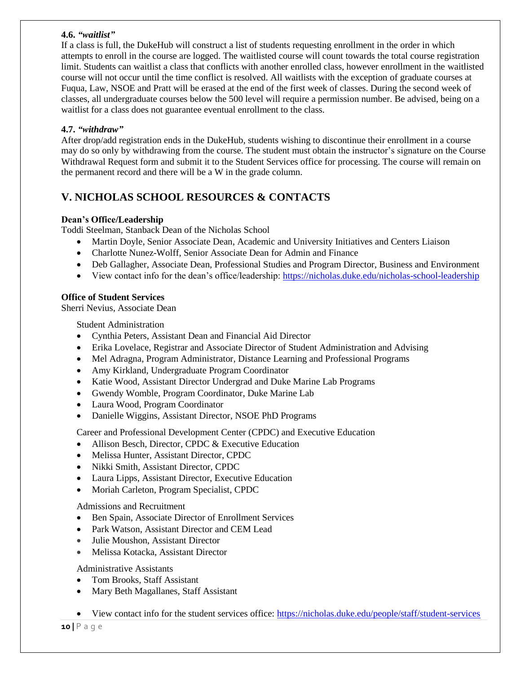## **4.6.** *"waitlist"*

If a class is full, the DukeHub will construct a list of students requesting enrollment in the order in which attempts to enroll in the course are logged. The waitlisted course will count towards the total course registration limit. Students can waitlist a class that conflicts with another enrolled class, however enrollment in the waitlisted course will not occur until the time conflict is resolved. All waitlists with the exception of graduate courses at Fuqua, Law, NSOE and Pratt will be erased at the end of the first week of classes. During the second week of classes, all undergraduate courses below the 500 level will require a permission number. Be advised, being on a waitlist for a class does not guarantee eventual enrollment to the class.

# **4.7.** *"withdraw"*

After drop/add registration ends in the DukeHub, students wishing to discontinue their enrollment in a course may do so only by withdrawing from the course. The student must obtain the instructor's signature on the Course Withdrawal Request form and submit it to the Student Services office for processing. The course will remain on the permanent record and there will be a W in the grade column.

# **V. NICHOLAS SCHOOL RESOURCES & CONTACTS**

# **Dean's Office/Leadership**

Toddi Steelman, Stanback Dean of the Nicholas School

- Martin Doyle, Senior Associate Dean, Academic and University Initiatives and Centers Liaison
- Charlotte Nunez-Wolff, Senior Associate Dean for Admin and Finance
- Deb Gallagher, Associate Dean, Professional Studies and Program Director, Business and Environment
- View contact info for the dean's office/leadership:<https://nicholas.duke.edu/nicholas-school-leadership>

# **Office of Student Services**

Sherri Nevius, Associate Dean

Student Administration

- Cynthia Peters, Assistant Dean and Financial Aid Director
- Erika Lovelace, Registrar and Associate Director of Student Administration and Advising
- Mel Adragna, Program Administrator, Distance Learning and Professional Programs
- Amy Kirkland, Undergraduate Program Coordinator
- Katie Wood, Assistant Director Undergrad and Duke Marine Lab Programs
- Gwendy Womble, Program Coordinator, Duke Marine Lab
- Laura Wood, Program Coordinator
- Danielle Wiggins, Assistant Director, NSOE PhD Programs

Career and Professional Development Center (CPDC) and Executive Education

- Allison Besch, Director, CPDC & Executive Education
- Melissa Hunter, Assistant Director, CPDC
- Nikki Smith, Assistant Director, CPDC
- Laura Lipps, Assistant Director, Executive Education
- Moriah Carleton, Program Specialist, CPDC

## Admissions and Recruitment

- Ben Spain, Associate Director of Enrollment Services
- Park Watson, Assistant Director and CEM Lead
- Julie Moushon, Assistant Director
- Melissa Kotacka, Assistant Director

Administrative Assistants

- Tom Brooks, Staff Assistant
- Mary Beth Magallanes, Staff Assistant
- View contact info for the student services office:<https://nicholas.duke.edu/people/staff/student-services>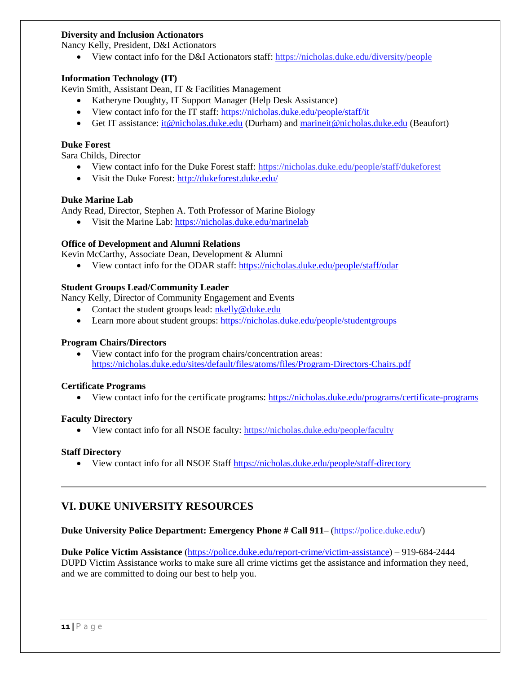## **Diversity and Inclusion Actionators**

Nancy Kelly, President, D&I Actionators

View contact info for the D&I Actionators staff[: https://nicholas.duke.edu/diversity/people](https://nicholas.duke.edu/diversity/people)

## **Information Technology (IT)**

Kevin Smith, Assistant Dean, IT & Facilities Management

- Katheryne Doughty, IT Support Manager (Help Desk Assistance)
- View contact info for the IT staff:<https://nicholas.duke.edu/people/staff/it>
- Get IT assistance: it @nicholas.duke.edu (Durham) and marineit @nicholas.duke.edu (Beaufort)

## **Duke Forest**

Sara Childs, Director

- View contact info for the Duke Forest staff:<https://nicholas.duke.edu/people/staff/dukeforest>
- Visit the Duke Forest:<http://dukeforest.duke.edu/>

## **Duke Marine Lab**

Andy Read, Director, Stephen A. Toth Professor of Marine Biology

Visit the Marine Lab:<https://nicholas.duke.edu/marinelab>

# **Office of Development and Alumni Relations**

Kevin McCarthy, Associate Dean, Development & Alumni

View contact info for the ODAR staff:<https://nicholas.duke.edu/people/staff/odar>

# **Student Groups Lead/Community Leader**

Nancy Kelly, Director of Community Engagement and Events

- Contact the student groups lead: [nkelly@duke.edu](mailto:nkelly@duke.edu)
- Learn more about student groups:<https://nicholas.duke.edu/people/studentgroups>

## **Program Chairs/Directors**

• View contact info for the program chairs/concentration areas: <https://nicholas.duke.edu/sites/default/files/atoms/files/Program-Directors-Chairs.pdf>

## **Certificate Programs**

View contact info for the certificate programs:<https://nicholas.duke.edu/programs/certificate-programs>

## **Faculty Directory**

View contact info for all NSOE faculty[: https://nicholas.duke.edu/people/faculty](https://nicholas.duke.edu/people/faculty)

## **Staff Directory**

View contact info for all NSOE Staff<https://nicholas.duke.edu/people/staff-directory>

# **VI. DUKE UNIVERSITY RESOURCES**

# **Duke University Police Department: Emergency Phone # Call 911**– (https://police.duke.edu/)

**Duke Police Victim Assistance** [\(https://police.duke.edu/report-crime/victim-assistance\)](https://police.duke.edu/report-crime/victim-assistance) – 919-684-2444 DUPD Victim Assistance works to make sure all crime victims get the assistance and information they need, and we are committed to doing our best to help you.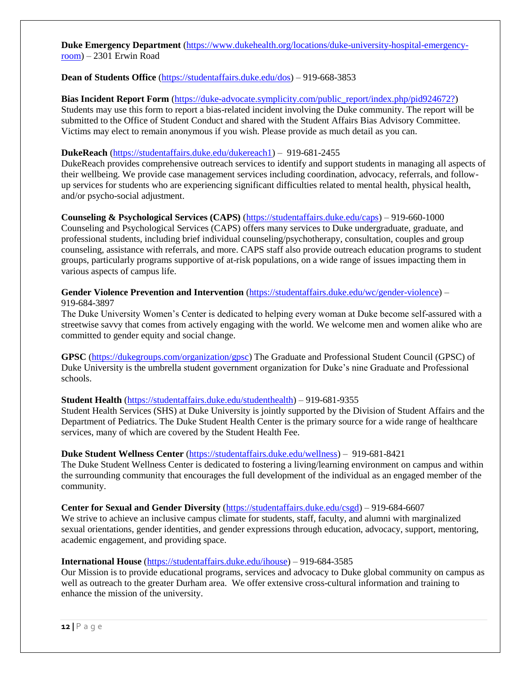**Duke Emergency Department** [\(https://www.dukehealth.org/locations/duke-university-hospital-emergency](https://www.dukehealth.org/locations/duke-university-hospital-emergency-room)[room\)](https://www.dukehealth.org/locations/duke-university-hospital-emergency-room) – 2301 Erwin Road

### **Dean of Students Office** [\(https://studentaffairs.duke.edu/dos\)](https://studentaffairs.duke.edu/dos) – 919-668-3853

**Bias Incident Report Form** (https://duke-advocate.symplicity.com/public\_report/index.php/pid924672?) Students may use this form to report a bias-related incident involving the Duke community. The report will be submitted to the Office of Student Conduct and shared with the Student Affairs Bias Advisory Committee. Victims may elect to remain anonymous if you wish. Please provide as much detail as you can.

#### **DukeReach** [\(https://studentaffairs.duke.edu/dukereach1\)](https://studentaffairs.duke.edu/dukereach1) – 919-681-2455

DukeReach provides comprehensive outreach services to identify and support students in managing all aspects of their wellbeing. We provide case management services including coordination, advocacy, referrals, and followup services for students who are experiencing significant difficulties related to mental health, physical health, and/or psycho-social adjustment.

## **Counseling & Psychological Services (CAPS)** [\(https://studentaffairs.duke.edu/caps\)](https://studentaffairs.duke.edu/caps) – 919-660-1000

Counseling and Psychological Services (CAPS) offers many services to Duke undergraduate, graduate, and professional students, including brief individual counseling/psychotherapy, consultation, couples and group counseling, assistance with referrals, and more. CAPS staff also provide outreach education programs to student groups, particularly programs supportive of at-risk populations, on a wide range of issues impacting them in various aspects of campus life.

## **Gender Violence Prevention and Intervention** [\(https://studentaffairs.duke.edu/wc/gender-violence\)](https://studentaffairs.duke.edu/wc/gender-violence) – 919-684-3897

The Duke University Women's Center is dedicated to helping every woman at Duke become self-assured with a streetwise savvy that comes from actively engaging with the world. We welcome men and women alike who are committed to gender equity and social change.

**GPSC** [\(https://dukegroups.com/organization/gpsc\)](https://dukegroups.com/organization/gpsc) The Graduate and Professional Student Council (GPSC) of Duke University is the umbrella student government organization for Duke's nine Graduate and Professional schools.

## **Student Health** [\(https://studentaffairs.duke.edu/studenthealth\)](https://studentaffairs.duke.edu/studenthealth) – 919-681-9355

Student Health Services (SHS) at Duke University is jointly supported by the Division of Student Affairs and the Department of Pediatrics. The Duke Student Health Center is the primary source for a wide range of healthcare services, many of which are covered by the Student Health Fee.

#### **Duke Student Wellness Center** [\(https://studentaffairs.duke.edu/wellness\)](https://studentaffairs.duke.edu/wellness) – 919-681-8421

The Duke Student Wellness Center is dedicated to fostering a living/learning environment on campus and within the surrounding community that encourages the full development of the individual as an engaged member of the community.

**Center for Sexual and Gender Diversity** [\(https://studentaffairs.duke.edu/csgd\)](https://studentaffairs.duke.edu/csgd) – 919-684-6607

We strive to achieve an inclusive campus climate for students, staff, faculty, and alumni with marginalized sexual orientations, gender identities, and gender expressions through education, advocacy, support, mentoring, academic engagement, and providing space.

#### **International House** [\(https://studentaffairs.duke.edu/ihouse\)](https://studentaffairs.duke.edu/ihouse) – 919-684-3585

Our Mission is to provide educational programs, services and advocacy to Duke global community on campus as well as outreach to the greater Durham area. We offer extensive cross-cultural information and training to enhance the mission of the university.